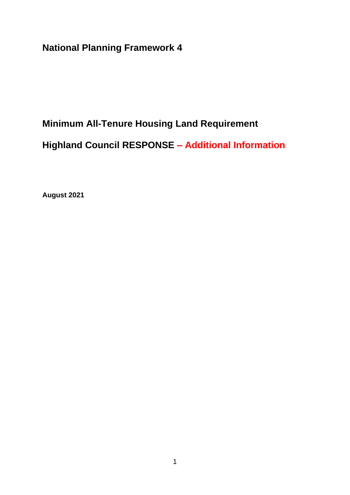**National Planning Framework 4**

# **Minimum All-Tenure Housing Land Requirement**

**Highland Council RESPONSE – Additional Information**

**August 2021**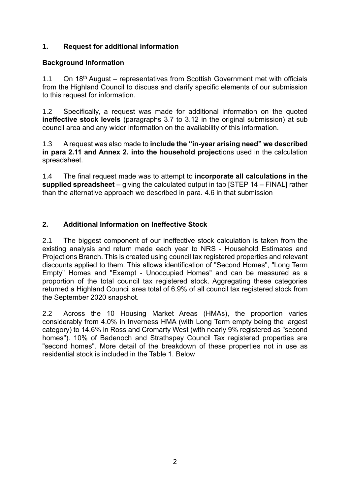## **1. Request for additional information**

#### **Background Information**

1.1 On  $18<sup>th</sup>$  August – representatives from Scottish Government met with officials from the Highland Council to discuss and clarify specific elements of our submission to this request for information.

1.2 Specifically, a request was made for additional information on the quoted **ineffective stock levels** (paragraphs 3.7 to 3.12 in the original submission) at sub council area and any wider information on the availability of this information.

1.3 A request was also made to **include the "in-year arising need" we described in para 2.11 and Annex 2. into the household project**ions used in the calculation spreadsheet.

1.4 The final request made was to attempt to **incorporate all calculations in the supplied spreadsheet** – giving the calculated output in tab [STEP 14 – FINAL] rather than the alternative approach we described in para. 4.6 in that submission

## **2. Additional Information on Ineffective Stock**

2.1 The biggest component of our ineffective stock calculation is taken from the existing analysis and return made each year to NRS - Household Estimates and Projections Branch. This is created using council tax registered properties and relevant discounts applied to them. This allows identification of "Second Homes", "Long Term Empty" Homes and "Exempt - Unoccupied Homes" and can be measured as a proportion of the total council tax registered stock. Aggregating these categories returned a Highland Council area total of 6.9% of all council tax registered stock from the September 2020 snapshot.

2.2 Across the 10 Housing Market Areas (HMAs), the proportion varies considerably from 4.0% in Inverness HMA (with Long Term empty being the largest category) to 14.6% in Ross and Cromarty West (with nearly 9% registered as "second homes"). 10% of Badenoch and Strathspey Council Tax registered properties are "second homes". More detail of the breakdown of these properties not in use as residential stock is included in the Table 1. Below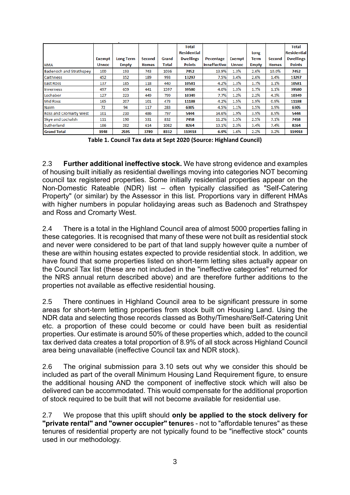|                                |               |                  |              |       | Total              |              |              |              |              | <b>Total</b>       |
|--------------------------------|---------------|------------------|--------------|-------|--------------------|--------------|--------------|--------------|--------------|--------------------|
|                                |               |                  |              |       | <b>Residential</b> |              |              | Long         |              | <b>Residential</b> |
|                                | <b>Exempt</b> | <b>Long Term</b> | Second       | Grand | <b>Dwellings</b>   | Pecentage    | Exempt       | Term         | Second       | <b>Dwellings</b>   |
| <b>HMA</b>                     | <b>Unnoc</b>  | <b>Empty</b>     | <b>Homes</b> | Total | <b>Points</b>      | Inneffective | <b>Unnoc</b> | <b>Empty</b> | <b>Homes</b> | <b>Points</b>      |
| <b>Badenoch and Strathspey</b> | 100           | 193              | 743          | 1036  | 7452               | 13.9%        | 1.3%         | 2.6%         | 10.0%        | 7452               |
| <b>Caithness</b>               | 452           | 352              | 189          | 993   | 13297              | 7.5%         | 3.4%         | 2.6%         | 1.4%         | 13297              |
| <b>East Ross</b>               | 137           | 185              | 118          | 440   | 10581              | 4.2%         | 1.3%         | 1.7%         | 1.1%         | 10581              |
| <b>Inverness</b>               | 497           | 659              | 441          | 1597  | 39580              | 4.0%         | 1.3%         | 1.7%         | 1.1%         | 39580              |
| Lochaber                       | 127           | 223              | 449          | 799   | 10349              | 7.7%         | 1.2%         | 2.2%         | 4.3%         | 10349              |
| <b>Mid Ross</b>                | 165           | 207              | 101          | 473   | 11188              | 4.2%         | 1.5%         | 1.9%         | 0.9%         | 11188              |
| <b>Nairn</b>                   | 72            | 94               | 117          | 283   | 6305               | 4.5%         | 1.1%         | 1.5%         | 1.9%         | 6305               |
| Ross and Cromarty West         | 101           | 210              | 486          | 797   | 5444               | 14.6%        | 1.9%         | 3.9%         | 8.9%         | 5444               |
| Skye and Lochalsh              | 111           | 190              | 531          | 832   | 7458               | 11.2%        | 1.5%         | 2.5%         | 7.1%         | 7458               |
| Sutherland                     | 186           | 282              | 614          | 1082  | 8264               | 13.1%        | 2.3%         | 3.4%         | 7.4%         | 8264               |
| <b>Grand Total</b>             | 1948          | 2595             | 3789         | 8332  | 119918             | 6.9%         | 1.6%         | 2.2%         | 3.2%         | 119918             |

**Table 1. Council Tax data at Sept 2020 (Source: Highland Council)**

2.3 **Further additional ineffective stock.** We have strong evidence and examples of housing built initially as residential dwellings moving into categories NOT becoming council tax registered properties. Some initially residential properties appear on the Non-Domestic Rateable (NDR) list – often typically classified as "Self-Catering Property" (or similar) by the Assessor in this list. Proportions vary in different HMAs with higher numbers in popular holidaying areas such as Badenoch and Strathspey and Ross and Cromarty West.

2.4 There is a total in the Highland Council area of almost 5000 properties falling in these categories. It is recognised that many of these were not built as residential stock and never were considered to be part of that land supply however quite a number of these are within housing estates expected to provide residential stock. In addition, we have found that some properties listed on short-term letting sites actually appear on the Council Tax list (these are not included in the "ineffective categories" returned for the NRS annual return described above) and are therefore further additions to the properties not available as effective residential housing.

2.5 There continues in Highland Council area to be significant pressure in some areas for short-term letting properties from stock built on Housing Land. Using the NDR data and selecting those records classed as Bothy/Timeshare/Self-Catering Unit etc. a proportion of these could become or could have been built as residential properties. Our estimate is around 50% of these properties which, added to the council tax derived data creates a total proportion of 8.9% of all stock across Highland Council area being unavailable (ineffective Council tax and NDR stock).

2.6 The original submission para 3.10 sets out why we consider this should be included as part of the overall Minimum Housing Land Requirement figure, to ensure the additional housing AND the component of ineffective stock which will also be delivered can be accommodated. This would compensate for the additional proportion of stock required to be built that will not become available for residential use.

2.7 We propose that this uplift should **only be applied to the stock delivery for "private rental" and "owner occupier" tenure**s - not to "affordable tenures" as these tenures of residential property are not typically found to be "ineffective stock" counts used in our methodology.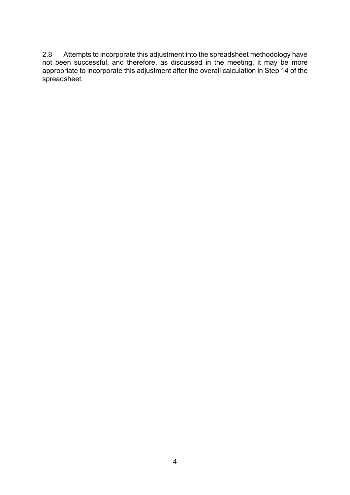2.8 Attempts to incorporate this adjustment into the spreadsheet methodology have not been successful, and therefore, as discussed in the meeting, it may be more appropriate to incorporate this adjustment after the overall calculation in Step 14 of the spreadsheet.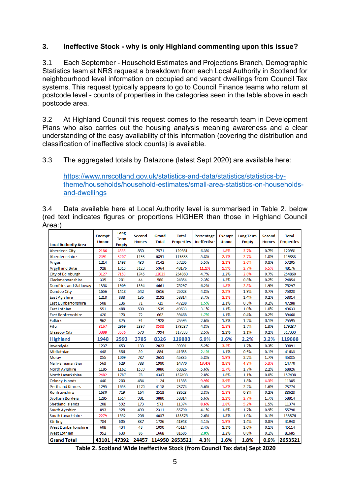#### **3. Ineffective Stock - why is only Highland commenting upon this issue?**

3.1 Each September - Household Estimates and Projections Branch, Demographic Statistics team at NRS request a breakdown from each Local Authority in Scotland for neighbourhood level information on occupied and vacant dwellings from Council Tax systems. This request typically appears to go to Council Finance teams who return at postcode level - counts of properties in the categories seen in the table above in each postcode area.

3.2 At Highland Council this request comes to the research team in Development Plans who also carries out the housing analysis meaning awareness and a clear understanding of the easy availability of this information (covering the distribution and classification of ineffective stock counts) is available.

3.3 The aggregated totals by Datazone (latest Sept 2020) are available here:

[https://www.nrscotland.gov.uk/statistics-and-data/statistics/statistics-by](https://www.nrscotland.gov.uk/statistics-and-data/statistics/statistics-by-theme/households/household-estimates/small-area-statistics-on-households-and-dwellings)[theme/households/household-estimates/small-area-statistics-on-households](https://www.nrscotland.gov.uk/statistics-and-data/statistics/statistics-by-theme/households/household-estimates/small-area-statistics-on-households-and-dwellings)[and-dwellings](https://www.nrscotland.gov.uk/statistics-and-data/statistics/statistics-by-theme/households/household-estimates/small-area-statistics-on-households-and-dwellings)

3.4 Data available here at Local Authority level is summarised in Table 2. below (red text indicates figures or proportions HIGHER than those in Highland Council Area:)

| <b>Local Authority Area</b>  | <b>Exempt</b><br><b>Unnoc</b> | Long<br><b>Term</b><br><b>Empty</b> | <b>Second</b><br><b>Homes</b> | Grand<br><b>Total</b> | <b>Total</b><br><b>Properties</b> | Percentage<br><b>Ineffective</b> | <b>Exempt</b><br><b>Unnoc</b> | <b>Long Term</b><br><b>Empty</b> | <b>Second</b><br><b>Homes</b> | <b>Total</b><br><b>Properties</b> |
|------------------------------|-------------------------------|-------------------------------------|-------------------------------|-----------------------|-----------------------------------|----------------------------------|-------------------------------|----------------------------------|-------------------------------|-----------------------------------|
| <b>Aberdeen City</b>         | 2186                          | 4535                                | 850                           | 7571                  | 120981                            | 6.3%                             | 1.8%                          | 3.7%                             | 0.7%                          | 120981                            |
| Aberdeenshire                | 2491                          | 3207                                | 1193                          | 6891                  | 119833                            | 5.8%                             | 2.1%                          | 2.7%                             | 1.0%                          | 119833                            |
| Angus                        | 1214                          | 1498                                | 430                           | 3142                  | 57205                             | 5.5%                             | 2.1%                          | 2.6%                             | 0.8%                          | 57205                             |
| <b>Argyll and Bute</b>       | 928                           | 1313                                | 3123                          | 5364                  | 48176                             | 11.1%                            | 1.9%                          | 2.7%                             | 6.5%                          | 48176                             |
| City of Edinburgh            | 3127                          | 7153                                | 1745                          | 12025                 | 254860                            | 4.7%                             | 1.2%                          | 2.8%                             | 0.7%                          | 254860                            |
| Clackmannanshire             | 335                           | 201                                 | 44                            | 580                   | 24854                             | 2.3%                             | 1.3%                          | 0.8%                             | 0.2%                          | 24854                             |
| <b>Dumfries and Galloway</b> | 1358                          | 1909                                | 1394                          | 4661                  | 75297                             | 6.2%                             | 1.8%                          | 2.5%                             | 1.9%                          | 75297                             |
| <b>Dundee City</b>           | 1656                          | 1418                                | 542                           | 3616                  | 75023                             | 4.8%                             | 2.2%                          | 1.9%                             | 0.7%                          | 75023                             |
| <b>East Ayrshire</b>         | 1218                          | 838                                 | 136                           | 2192                  | 58814                             | 3.7%                             | 2.1%                          | 1.4%                             | 0.2%                          | 58814                             |
| <b>East Dunbartonshire</b>   | 508                           | 136                                 | 71                            | 715                   | 47288                             | 1.5%                             | 1.1%                          | 0.3%                             | 0.2%                          | 47288                             |
| East Lothian                 | 551                           | 488                                 | 500                           | 1539                  | 49633                             | 3.1%                             | 1.1%                          | 1.0%                             | 1.0%                          | 49633                             |
| <b>East Renfrewshire</b>     | 420                           | 170                                 | 72                            | 662                   | 39468                             | 1.7%                             | 1.1%                          | 0.4%                             | 0.2%                          | 39468                             |
| <b>Falkirk</b>               | 962                           | 875                                 | 91                            | 1928                  | 75595                             | 2.6%                             | 1.3%                          | 1.2%                             | 0.1%                          | 75595                             |
| Fife                         | 3167                          | 2969                                | 2397                          | 8533                  | 179237                            | 4.8%                             | 1.8%                          | 1.7%                             | 1.3%                          | 179237                            |
| <b>Glasgow City</b>          | 3888                          | 3536                                | 570                           | 7994                  | 317333                            | 2.5%                             | 1.2%                          | 1.1%                             | 0.2%                          | 317333                            |
| <b>Highland</b>              | 1948                          | 2593                                | 3785                          | 8326                  | 119888                            | 6.9%                             | 1.6%                          | 2.2%                             | 3.2%                          | 119888                            |
| Inverclyde                   | 1237                          | 653                                 | 133                           | 2023                  | 39091                             | 5.2%                             | 3.2%                          | 1.7%                             | 0.3%                          | 39091                             |
| Midlothian                   | 448                           | 386                                 | 50                            | 884                   | 41633                             | 2.1%                             | 1.1%                          | 0.9%                             | 0.1%                          | 41633                             |
| Moray                        | 855                           | 1009                                | 787                           | 2651                  | 45835                             | 5.8%                             | 1.9%                          | 2.2%                             | 1.7%                          | 45835                             |
| Na h-Eileanan Siar           | 563                           | 629                                 | 788                           | 1980                  | 14770                             | 13.4%                            | 3.8%                          | 4.3%                             | 5.3%                          | 14770                             |
| <b>North Avrshire</b>        | 1185                          | 1162                                | 1539                          | 3886                  | 68826                             | 5.6%                             | 1.7%                          | 1.7%                             | 2.2%                          | 68826                             |
| North Lanarkshire            | 2482                          | 1787                                | 78                            | 4347                  | 157498                            | 2.8%                             | 1.6%                          | 1.1%                             | 0.0%                          | 157498                            |
| <b>Orkney Islands</b>        | 440                           | 200                                 | 484                           | 1124                  | 11385                             | 9.9%                             | 3.9%                          | 1.8%                             | 4.3%                          | 11385                             |
| <b>Perth and Kinross</b>     | 1295                          | 1653                                | 1170                          | 4118                  | 73774                             | 5.6%                             | 1.8%                          | 2.2%                             | 1.6%                          | 73774                             |
| Renfrewshire                 | 1630                          | 719                                 | 164                           | 2513                  | 88623                             | 2.8%                             | 1.8%                          | 0.8%                             | 0.2%                          | 88623                             |
| <b>Scottish Borders</b>      | 1285                          | 1614                                | 981                           | 3880                  | 58814                             | 6.6%                             | 2.2%                          | 2.7%                             | 1.7%                          | 58814                             |
| <b>Shetland Islands</b>      | 208                           | 592                                 | 173                           | 973                   | 11374                             | 8.6%                             | 1.8%                          | 5.2%                             | 1.5%                          | 11374                             |
| South Ayrshire               | 893                           | 928                                 | 490                           | 2311                  | 55790                             | 4.1%                             | 1.6%                          | 1.7%                             | 0.9%                          | 55790                             |
| South Lanarkshire            | 2279                          | 1552                                | 206                           | 4037                  | 153876                            | 2.6%                             | 1.5%                          | 1.0%                             | 0.1%                          | 153876                            |
| <b>Stirling</b>              | 784                           | 605                                 | 337                           | 1726                  | 41948                             | 4.1%                             | 1.9%                          | 1.4%                             | 0.8%                          | 41948                             |
| <b>West Dunbartonshire</b>   | 608                           | 434                                 | 48                            | 1090                  | 45114                             | 2.4%                             | 1.3%                          | 1.0%                             | 0.1%                          | 45114                             |
| West Lothian                 | 952                           | 630                                 | 86                            | 1668                  | 81685                             | 2.0%                             | 1.2%                          | 0.8%                             | 0.1%                          | 81685                             |
| <b>Grand Total</b>           | 43101                         | 47392                               | 24457                         | 114950                | 2653521                           | 4.3%                             | 1.6%                          | 1.8%                             | 0.9%                          | 2653521                           |

**Table 2. Scotland Wide Ineffective Stock (from Council Tax data) Sept 2020**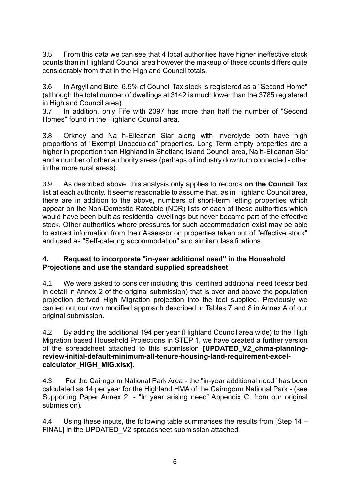3.5 From this data we can see that 4 local authorities have higher ineffective stock counts than in Highland Council area however the makeup of these counts differs quite considerably from that in the Highland Council totals.

3.6 In Argyll and Bute, 6.5% of Council Tax stock is registered as a "Second Home" (although the total number of dwellings at 3142 is much lower than the 3785 registered in Highland Council area).

3.7 In addition, only Fife with 2397 has more than half the number of "Second Homes" found in the Highland Council area.

3.8 Orkney and Na h-Eileanan Siar along with Inverclyde both have high proportions of "Exempt Unoccupied" properties. Long Term empty properties are a higher in proportion than Highland in Shetland Island Council area, Na h-Eileanan Siar and a number of other authority areas (perhaps oil industry downturn connected - other in the more rural areas).

3.9 As described above, this analysis only applies to records **on the Council Tax** list at each authority. It seems reasonable to assume that, as in Highland Council area, there are in addition to the above, numbers of short-term letting properties which appear on the Non-Domestic Rateable (NDR) lists of each of these authorities which would have been built as residential dwellings but never became part of the effective stock. Other authorities where pressures for such accommodation exist may be able to extract information from their Assessor on properties taken out of "effective stock" and used as "Self-catering accommodation" and similar classifications.

#### **4. Request to incorporate "in-year additional need" in the Household Projections and use the standard supplied spreadsheet**

4.1 We were asked to consider including this identified additional need (described in detail in Annex 2 of the original submission) that is over and above the population projection derived High Migration projection into the tool supplied. Previously we carried out our own modified approach described in Tables 7 and 8 in Annex A of our original submission.

4.2 By adding the additional 194 per year (Highland Council area wide) to the High Migration based Household Projections in STEP 1, we have created a further version of the spreadsheet attached to this submission **[UPDATED\_V2\_chma-planningreview-initial-default-minimum-all-tenure-housing-land-requirement-excelcalculator\_HIGH\_MIG.xlsx].**

4.3 For the Cairngorm National Park Area - the "in-year additional need" has been calculated as 14 per year for the Highland HMA of the Cairngorm National Park - (see Supporting Paper Annex 2. - "In year arising need" Appendix C. from our original submission).

4.4 Using these inputs, the following table summarises the results from [Step 14 – FINAL] in the UPDATED V2 spreadsheet submission attached.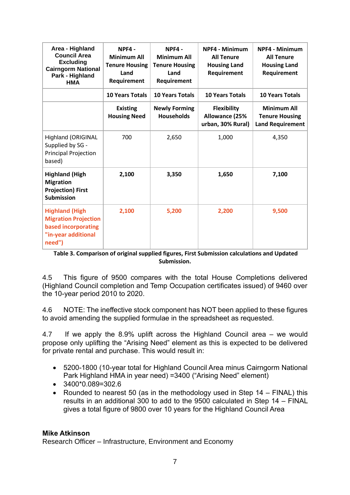| Area - Highland<br><b>Council Area</b><br><b>Excluding</b><br><b>Cairngorm National</b><br>Park - Highland<br><b>HMA</b> | NPF4-<br><b>Minimum All</b><br><b>Tenure Housing</b><br>Land<br>Requirement | NPF4-<br><b>Minimum All</b><br><b>Tenure Housing</b><br>Land<br>Requirement | <b>NPF4 - Minimum</b><br><b>All Tenure</b><br><b>Housing Land</b><br>Requirement | <b>NPF4 - Minimum</b><br><b>All Tenure</b><br><b>Housing Land</b><br>Requirement |  |
|--------------------------------------------------------------------------------------------------------------------------|-----------------------------------------------------------------------------|-----------------------------------------------------------------------------|----------------------------------------------------------------------------------|----------------------------------------------------------------------------------|--|
|                                                                                                                          | <b>10 Years Totals</b>                                                      | <b>10 Years Totals</b>                                                      | <b>10 Years Totals</b>                                                           | <b>10 Years Totals</b>                                                           |  |
|                                                                                                                          | <b>Existing</b><br><b>Housing Need</b>                                      | <b>Newly Forming</b><br><b>Households</b>                                   | <b>Flexibility</b><br><b>Allowance (25%</b><br>urban, 30% Rural)                 | <b>Minimum All</b><br><b>Tenure Housing</b><br><b>Land Requirement</b>           |  |
| <b>Highland (ORIGINAL</b><br>Supplied by SG -<br>Principal Projection<br>based)                                          | 700                                                                         | 2,650                                                                       | 1,000                                                                            | 4,350                                                                            |  |
| <b>Highland (High</b><br><b>Migration</b><br><b>Projection) First</b><br><b>Submission</b>                               | 2,100                                                                       | 3,350                                                                       | 1,650                                                                            | 7,100                                                                            |  |
| <b>Highland (High</b><br><b>Migration Projection</b><br>based incorporating<br>"in-year additional<br>need")             | 2,100                                                                       | 5,200                                                                       | 2,200                                                                            | 9,500                                                                            |  |

**Table 3. Comparison of original supplied figures, First Submission calculations and Updated Submission.**

4.5 This figure of 9500 compares with the total House Completions delivered (Highland Council completion and Temp Occupation certificates issued) of 9460 over the 10-year period 2010 to 2020.

4.6 NOTE: The ineffective stock component has NOT been applied to these figures to avoid amending the supplied formulae in the spreadsheet as requested.

4.7 If we apply the 8.9% uplift across the Highland Council area – we would propose only uplifting the "Arising Need" element as this is expected to be delivered for private rental and purchase. This would result in:

- 5200-1800 (10-year total for Highland Council Area minus Cairngorm National Park Highland HMA in year need) =3400 ("Arising Need" element)
- $\bullet$  3400\*0.089=302.6
- Rounded to nearest 50 (as in the methodology used in Step 14 FINAL) this results in an additional 300 to add to the 9500 calculated in Step 14 – FINAL gives a total figure of 9800 over 10 years for the Highland Council Area

#### **Mike Atkinson**

Research Officer – Infrastructure, Environment and Economy